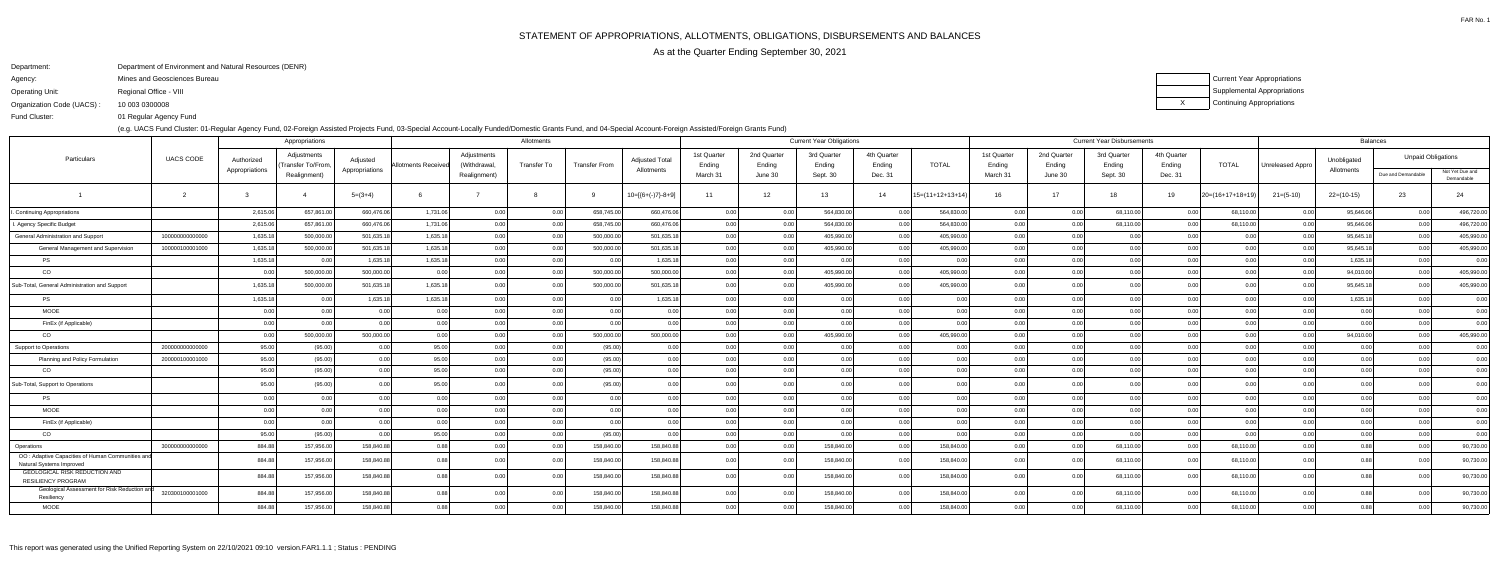FAR No. 1

As at the Quarter Ending September 30, 2021

Department:Department of Environment and Natural Resources (DENR)

Agency:Mines and Geosciences Bureau

Operating Unit:Regional Office - VIII

Organization Code (UACS) :10 003 0300008 XCurrent Year Appropriations Supplemental AppropriationsContinuing Appropriations

 01 Regular Agency FundFund Cluster:

(e.g. UACS Fund Cluster: 01-Regular Agency Fund, 02-Foreign Assisted Projects Fund, 03-Special Account-Locally Funded/Domestic Grants Fund, and 04-Special Account-Foreign Assisted/Foreign Grants Fund)

|                                                                              |                  |                              | Appropriations                                    |                            |                    |                                             | Allotments  |                      |                                     | <b>Current Year Obligations</b>   |                                  |                                   |                                  |                    |                                   | <b>Current Year Disbursements</b> |                                   |                                  |                    |                  |                           | <b>Balances</b>                                 |                               |  |  |
|------------------------------------------------------------------------------|------------------|------------------------------|---------------------------------------------------|----------------------------|--------------------|---------------------------------------------|-------------|----------------------|-------------------------------------|-----------------------------------|----------------------------------|-----------------------------------|----------------------------------|--------------------|-----------------------------------|-----------------------------------|-----------------------------------|----------------------------------|--------------------|------------------|---------------------------|-------------------------------------------------|-------------------------------|--|--|
| Particulars                                                                  | <b>UACS CODE</b> | Authorized<br>Appropriations | Adjustments<br>(Transfer To/From,<br>Realignment) | Adjusted<br>Appropriations | Allotments Receive | Adjustments<br>(Withdrawal,<br>Realignment) | Transfer To | <b>Transfer From</b> | <b>Adjusted Total</b><br>Allotments | 1st Quarter<br>Ending<br>March 31 | 2nd Quarter<br>Ending<br>June 30 | 3rd Quarter<br>Ending<br>Sept. 30 | 4th Quarter<br>Ending<br>Dec. 31 | <b>TOTAL</b>       | 1st Quarter<br>Ending<br>March 31 | 2nd Quarter<br>Ending<br>June 30  | 3rd Quarter<br>Ending<br>Sept. 30 | 4th Quarter<br>Ending<br>Dec. 31 | <b>TOTAL</b>       | Unreleased Appro | Unobligated<br>Allotments | <b>Unpaid Obligations</b><br>Due and Demandable | Not Yet Due and<br>Demandable |  |  |
|                                                                              |                  |                              |                                                   | $5=(3+4)$                  |                    |                                             |             |                      | $10=[{6+(-)}7-8+9]$                 | 11                                | 12                               | 13                                | 14                               | $15=(11+12+13+14)$ | 16                                | 17                                | 18                                | 19                               | $20=(16+17+18+19)$ | $21=(5-10)$      | $22=(10-15)$              | 23                                              | 24                            |  |  |
| Continuing Appropriations                                                    |                  | 2,615.06                     | 657,861.00                                        | 660,476.06                 | 1,731.06           | 0.00                                        | 0.00        | 658,745.00           | 660,476.06                          | 0.00                              | 0.00                             | 564,830.00                        | 0.00                             | 564,830.00         | 0.00                              | 0.00                              | 68,110.00                         | 0.00                             | 68,110.00          | 0.00             | 95,646.06                 | 0.00                                            | 496,720.00                    |  |  |
| Agency Specific Budget                                                       |                  | 2,615.06                     | 657,861.00                                        | 660,476.06                 | 1,731.06           | 0.00                                        | 0.00        | 658,745.00           | 660.476.06                          | 0.00                              | 0.00                             | 564,830.00                        | 0.00                             | 564,830.00         | 0.00                              | ი იი                              | 68,110.00                         | 0.00                             | 68,110.00          | 0.00             | 95,646.06                 | 0.00                                            | 496,720.00                    |  |  |
| General Administration and Support                                           | 100000000000000  | 1,635.18                     | 500,000.00                                        | 501,635.18                 | 1,635.18           | 0.00                                        | 0.00        | 500,000.00           | 501,635.18                          | 0.00                              | 0.00                             | 405,990.00                        | 0 Q                              | 405,990.00         | 0.00                              | 0.00                              | 0.00                              | 0.00                             | 0.00               | 0.0              | 95,645.18                 | 0.00                                            | 405,990.00                    |  |  |
| <b>General Management and Supervision</b>                                    | 100000100001000  | 1,635.18                     | 500,000.00                                        | 501,635.18                 | 1,635.18           | 0.00                                        | 0.00        | 500,000.00           | 501,635.18                          | 0.00                              | 0.00                             | 405,990.00                        | 0.00                             | 405,990.00         | 0.00                              | 0.00                              | 0.00                              | 0.00                             | 0.00               | 0.00             | 95,645.18                 | 0.00                                            | 405,990.00                    |  |  |
| <b>PS</b>                                                                    |                  | 1,635.18                     | 0.00                                              | 1,635.18                   | 1,635.18           | 0.00                                        | 0.00        | 0.00                 | 1,635.18                            | 0.00                              | 0.00                             | 0.00                              | 0.OC                             | 0.00               | 0.00                              | 0.00                              | 0.00                              | 0.00                             | 0.00               | 0.00             | 1,635.18                  | 0.00                                            | 0.00                          |  |  |
| CO                                                                           |                  | 0.00                         | 500,000.00                                        | 500,000.00                 | 0.00               | 0.00                                        | 0.00        | 500,000.00           | 500,000.00                          | 0.00                              | 0.00                             | 405,990.00                        |                                  | 405,990.00         | 0.00                              | 0.00                              | 0.00                              | 0.00                             | 0.00               | 0.0              | 94,010.00                 | 0.00                                            | 405,990.00                    |  |  |
| Sub-Total, General Administration and Support                                |                  | 1,635.18                     | 500,000.00                                        | 501,635.18                 | 1,635.18           | 0.00                                        | 0.00        | 500,000.00           | 501,635.18                          | 0.00                              | 0.00                             | 405,990.00                        |                                  | 405,990.00         | 0.00                              | 0.001                             |                                   | 0.00                             | 0 O                | 0 Q              | 95,645.18                 | 0.00                                            | 405,990.00                    |  |  |
| <b>PS</b>                                                                    |                  | 1,635.18                     | 0.00                                              | 1,635.18                   | 1,635.18           | 0.00                                        | 0.00        | 0.00                 | 1,635.18                            | 0.00                              | 0.00 <sub>1</sub>                | 0.00                              | 0.00                             | 0.00               | 0.00                              | 0.00                              | 0.00                              | 0.00                             | 0.00               | 0.00             | 1,635.18                  | 0.00                                            | 0.00                          |  |  |
| MOOE                                                                         |                  | 0.00                         |                                                   | 0.00                       | 0.00               | 0.00                                        |             | 0.00                 | 0.00                                | 0.00                              | 0.00                             | 0.00                              |                                  | 0.00               | 0.00                              | 0.00                              | 0.00                              | 0.00                             | 0.00               | 0.00             | 0.00                      |                                                 | 0.00                          |  |  |
| FinEx (if Applicable)                                                        |                  | 0.00                         | 0.00                                              | 0.00                       | 0.00               | 0.00                                        | 0.00        | 0.00                 | 0.00                                | 0.00                              | 0.00                             | 0.00                              | $\cap$ $\cap$                    | 0.00               | 0.00                              | 0.00                              | 0.00                              | 0.00                             | 0.00               | 0.00             | 0.00                      | 0.00                                            | 0.00                          |  |  |
| CO                                                                           |                  | 0.00                         | 500,000.00                                        | 500,000.00                 | 0.00               | 0.00                                        | 0.00        | 500,000.00           | 500.000.00                          | 0.00                              | 0.00 <sub>1</sub>                | 405.990.00                        | 0.00                             | 405.990.00         | 0.00                              | 0.00                              | 0.00                              | 0.00                             | 0.00               | 0.00             | 94,010.00                 | 0.00                                            | 405,990.00                    |  |  |
| <b>Support to Operations</b>                                                 | 200000000000000  | 95.00                        | (95.00)                                           | 0.00                       | 95.00              | 0.00                                        | 0.00        | (95.00)              | 0.00                                | 0.00                              | 0.00 <sub>1</sub>                | 0.00                              | 0 Q                              | 0.00               | 0.00                              | 0.00                              | 0.00                              | 0.00                             | 0.00               | 0.00             | 0.00                      | 0.00                                            | 0.00                          |  |  |
| Planning and Policy Formulation                                              | 200000100001000  | 95.00                        | (95.00)                                           | 0.00                       | 95.00              | 0.00                                        | 0.00        | (95.00)              | 0.00                                | 0.00                              | 0.00 <sub>1</sub>                | 0.00                              | n n                              | 0.00               | 0.00                              | 0.00                              | 0.00                              | 0.00                             | 0.00               | 0.00             | 0.00                      |                                                 | 0.00                          |  |  |
| CO                                                                           |                  | 95.00                        | (95.00)                                           | 0.00                       | 95.00              | 0.00                                        | 0.00        | (95.00)              | 0.00                                | 0.00                              | 0.00                             | 0.00                              | 0.00                             | 0.00               | 0.00                              | 0.00                              | 0.00                              | 0.00                             | 0.00               | 0.00             | 0.00                      | 0.00                                            | 0.00                          |  |  |
| Sub-Total, Support to Operations                                             |                  | 95.00                        | (95.00)                                           | 0.00                       | 95.00              | 0.00                                        | 0.00        | (95.00)              | 0.00                                | 0.00                              | 0.00                             | 0.00                              | n n                              | 0.00               | 0.00                              | 0.00                              | 0.00                              | 0.00                             | 0.00               | 0.00             | 0.00                      |                                                 | 0.00                          |  |  |
| <b>PS</b>                                                                    |                  | 0.00                         | 0.00                                              | 0.00                       | 0.00               | 0.00                                        | 0.00        | 0.00                 | 0.00                                | 0.00                              | 0.00 <sub>1</sub>                | 0.00                              | 0.00                             | 0.00               | 0.00                              | 0.00                              | 0.00                              | 0.00                             | 0.00               | 0.00             | 0.00                      |                                                 | 0.00                          |  |  |
| <b>MOOE</b>                                                                  |                  | 0.00                         | 0.00                                              | 0.00                       | 0.00               | 0.00                                        | 0.00        | 0.00                 | 0.00                                | 0.00                              | 0.00 <sub>1</sub>                | 0.00                              | 0 Q                              | 0.00               | 0.00                              | 0.00                              | 0.00                              | 0.00                             | 0.00               | 0.00             | 0.00                      | 0.00                                            | 0.00                          |  |  |
| FinEx (if Applicable)                                                        |                  | 0.00                         | 0.001                                             | 0.00                       | 0.00               | 0.00                                        | 0.00        | 0.00                 | 0.00                                | 0.00                              | 0.00                             | 0.00                              | n n                              | 0.00               |                                   | 0.00                              | 0.00                              | 0.00                             | 0.00               | 0.00             | 0.00                      |                                                 | 0.00                          |  |  |
| CO                                                                           |                  | 95.00                        | (95.00)                                           | 0.00                       | 95.00              | 0.00                                        | 0.00        | (95.00)              | 0.00                                | 0.00                              | 0.00                             | 0.00 <sub>l</sub>                 | 0.00                             | 0.00               | 0.00                              | 0.00                              | 0.00                              | 0.00                             | 0.00               | 0.00             | 0.00                      | 0.00                                            | 0.00                          |  |  |
| Operations                                                                   | 300000000000000  | 884.88                       | 157,956.00                                        | 158,840.88                 | 0.88               | 0.00                                        | 0.00        | 158,840.00           | 158,840.88                          | 0.00                              | 0.00                             | 158,840.00                        |                                  | 158,840.00         | 0.00                              | 0.00                              | 68,110.00                         | 0.00                             | 68,110.00          | 0.00             | 0.88                      | 0.00                                            | 90,730.00                     |  |  |
| OO: Adaptive Capacities of Human Communities and<br>Natural Systems Improved |                  | 884.88                       | 157,956.00                                        | 158,840.88                 | 0.88               | 0.00                                        | 0.00        | 158,840.00           | 158,840.88                          | 0.00                              | 0.00                             | 158,840.00                        | 0.00                             | 158,840.00         | 0 OC                              |                                   | 68,110.00                         | 0.00                             | 68,110.00          | 0.00             | 0.88                      | 0.00                                            | 90,730.00                     |  |  |
| GEOLOGICAL RISK REDUCTION AND<br>RESILIENCY PROGRAM                          |                  | 884.88                       | 157,956.00                                        | 158,840.88                 | 0.88               |                                             |             | 158,840.00           | 158,840.88                          | 0.00                              |                                  | 158,840.00                        |                                  | 158,840.00         | 0.00                              |                                   | 68,110.00                         |                                  | 68,110.00          | 0.00             | 0.85                      | ი იი                                            | 90,730.00                     |  |  |
| Geological Assessment for Risk Reduction an<br>Resiliency                    | 320300100001000  | 884.88                       | 157,956.00                                        | 158,840.88                 |                    | 0.00                                        | 0.00        | 158,840.00           | 158,840.88                          | 0.00                              | 0.00                             | 158,840.00                        |                                  | 158,840.00         |                                   |                                   | 68,110.00                         |                                  | 68,110.00          | 0.00             | 0.88                      | 0.00                                            | 90,730.00                     |  |  |
| <b>MOOE</b>                                                                  |                  | 884.88                       | 157,956.00                                        | 158,840.88                 | 0.88               |                                             | 0.00        | 158,840.00           | 158,840.88                          | 0.00                              | 0.00 <sub>1</sub>                | 158,840.00                        |                                  | 158,840.00         |                                   | 0.001                             | 68,110.00                         | 0.00                             | 68,110.00          | 0.00             | 0.88                      | 0.00                                            | 90,730.00                     |  |  |
|                                                                              |                  |                              |                                                   |                            |                    |                                             |             |                      |                                     |                                   |                                  |                                   |                                  |                    |                                   |                                   |                                   |                                  |                    |                  |                           |                                                 |                               |  |  |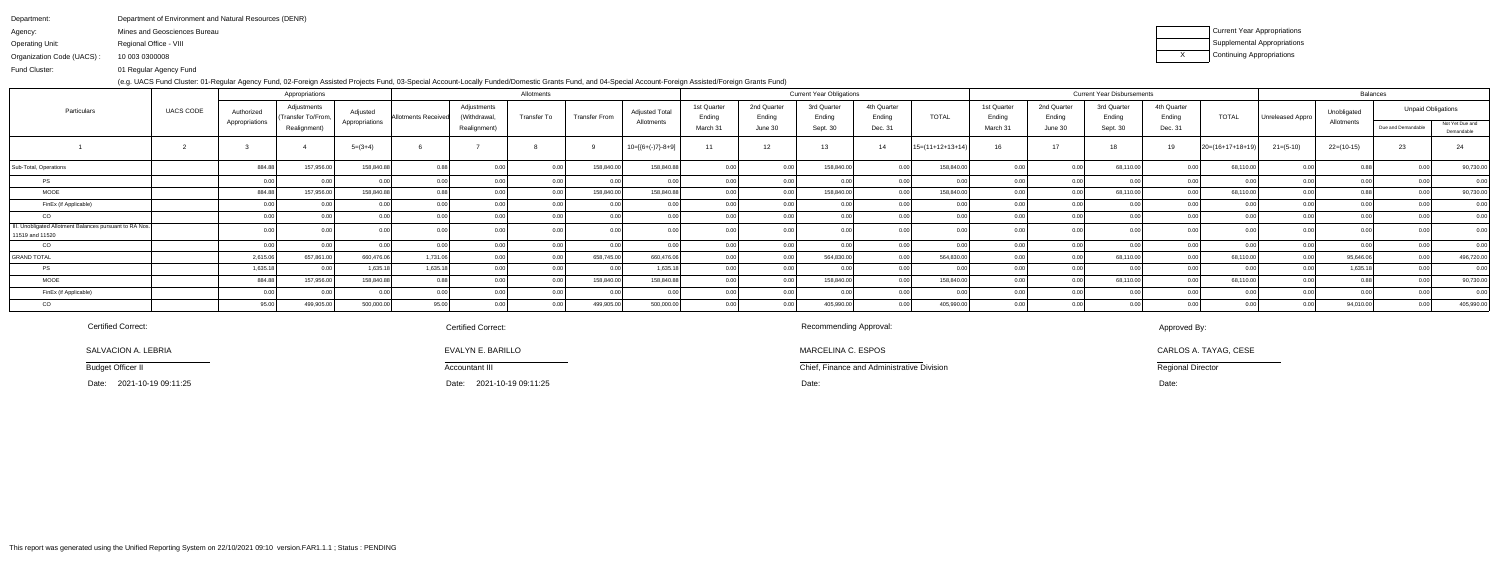| Department of Environment and Natural Resources (DENR) |
|--------------------------------------------------------|
| Mines and Geosciences Bureau                           |
| Regional Office - VIII                                 |
| 10 003 0300008                                         |
|                                                        |

 01 Regular Agency FundFund Cluster:

(e.g. UACS Fund Cluster: 01-Regular Agency Fund, 02-Foreign Assisted Projects Fund, 03-Special Account-Locally Funded/Domestic Grants Fund, and 04-Special Account-Foreign Assisted/Foreign Grants Fund)

| Current Year Appropriations        |
|------------------------------------|
| <b>Supplemental Appropriations</b> |
| Continuing Appropriations          |

|                                                                            |           |                              | Appropriations                                   |                            |                            |                                             | Allotments  |                      |                                     |                                   |                                  | <b>Current Year Obligations</b>   |                                  |                    |                                   |                                  | <b>Current Year Disbursements</b> |                                  |                    |                  |                           | Balances           |                                                            |
|----------------------------------------------------------------------------|-----------|------------------------------|--------------------------------------------------|----------------------------|----------------------------|---------------------------------------------|-------------|----------------------|-------------------------------------|-----------------------------------|----------------------------------|-----------------------------------|----------------------------------|--------------------|-----------------------------------|----------------------------------|-----------------------------------|----------------------------------|--------------------|------------------|---------------------------|--------------------|------------------------------------------------------------|
| Particulars                                                                | UACS CODE | Authorized<br>Appropriations | Adjustments<br>Transfer To/From,<br>Realignment) | Adjusted<br>Appropriations | <b>Allotments Received</b> | Adjustments<br>(Withdrawal,<br>Realignment) | Transfer To | <b>Transfer From</b> | <b>Adjusted Total</b><br>Allotments | 1st Quarter<br>Ending<br>March 31 | 2nd Quarter<br>Ending<br>June 30 | 3rd Quarter<br>Ending<br>Sept. 30 | 4th Quarter<br>Ending<br>Dec. 31 | <b>TOTAL</b>       | 1st Quarter<br>Ending<br>March 31 | 2nd Quarter<br>Ending<br>June 30 | 3rd Quarter<br>Ending<br>Sept. 30 | 4th Quarter<br>Ending<br>Dec. 31 | <b>TOTAL</b>       | Unreleased Appro | Unobligated<br>Allotments | Due and Demandable | <b>Unpaid Obligations</b><br>Not Yet Due and<br>Demandable |
|                                                                            |           |                              |                                                  | $5=(3+4)$                  |                            |                                             |             |                      | $10=[{6+(-)}7{-8+9}]$               | 11                                | 12                               | 13                                |                                  | $15=(11+12+13+14)$ | 16                                | 17                               |                                   | 19                               | $20=(16+17+18+19)$ | $21 = (5-10)$    | $22=(10-15)$              | 23                 | 24                                                         |
| Sub-Total, Operations                                                      |           | 884.88                       | 157,956.0                                        | 158,840.8                  |                            |                                             |             | 158,840.0            | 158,840.8                           |                                   |                                  | 158,840.                          |                                  | 158,840.0          |                                   |                                  | 68,110.00                         |                                  | 68,110.0<br>በ በበ   |                  |                           |                    | 90,730.00                                                  |
| PS                                                                         |           |                              |                                                  |                            |                            |                                             |             |                      |                                     |                                   |                                  |                                   |                                  |                    |                                   |                                  |                                   |                                  |                    |                  |                           |                    | 0.00                                                       |
| <b>MOOE</b>                                                                |           | 884.88                       | 157,956.00                                       | 158,840.88                 | 0.8R                       |                                             |             | 158,840.00           | 158,840.8                           |                                   |                                  | 158,840.00                        |                                  | 158,840.00         |                                   |                                  | 68,110.00                         |                                  | 68,110.00          |                  |                           |                    | 90,730.00                                                  |
| FinEx (if Applicable)                                                      |           |                              |                                                  |                            |                            |                                             |             | 0.00                 |                                     | 0.00                              |                                  |                                   |                                  |                    |                                   |                                  |                                   |                                  | 0.00               |                  |                           |                    | 0.00                                                       |
| CO                                                                         |           |                              |                                                  |                            |                            |                                             |             | 0 <sub>0</sub>       |                                     |                                   |                                  |                                   |                                  |                    |                                   |                                  |                                   |                                  | 0.001              |                  |                           |                    | 0.00                                                       |
| III. Unobligated Allotment Balances pursuant to RA Nos.<br>11519 and 11520 |           |                              |                                                  |                            |                            |                                             |             |                      |                                     |                                   |                                  |                                   |                                  |                    |                                   |                                  |                                   |                                  |                    |                  |                           |                    |                                                            |
| CO                                                                         |           |                              |                                                  |                            |                            |                                             |             | 0 <sup>0</sup>       |                                     |                                   |                                  |                                   |                                  |                    |                                   |                                  |                                   |                                  |                    |                  |                           |                    | 0.00                                                       |
| <b>GRAND TOTAL</b>                                                         |           | 2,615.06                     | 657,861.0                                        | 660,476.06                 | 1,731.06                   |                                             |             | 658,745.00           | 660,476.06                          |                                   |                                  | 564,830.0                         |                                  | 564,830.00         |                                   |                                  | 68,110.00                         |                                  | 68,110.0           |                  | 95,646.06                 |                    | 496,720.00                                                 |
| PS                                                                         |           | 1,635.18                     |                                                  | 1,635.18                   | 1,635.18                   |                                             |             |                      | 1,635.1                             |                                   |                                  |                                   |                                  |                    |                                   |                                  |                                   |                                  |                    |                  | 1,635.18                  |                    | 0.00                                                       |
| <b>MOOE</b>                                                                |           | 884.88                       | 157,956.00                                       | 158,840.8                  | 0.88                       |                                             |             | 158,840.00           | 158,840.8                           | 0.001                             |                                  | 158,840.0                         |                                  | 158,840.00         |                                   |                                  | 68,110.00                         |                                  | 68,110.0           |                  |                           |                    | 90,730.00                                                  |
| FinEx (if Applicable)                                                      |           |                              |                                                  |                            |                            |                                             |             | $\cap$               |                                     |                                   |                                  |                                   |                                  |                    |                                   |                                  |                                   |                                  |                    |                  |                           |                    | 0.00                                                       |
| $_{\rm CO}$                                                                |           |                              | 499,905.00                                       | 500,000.0                  | 95.00                      |                                             |             | 499,905.00           | 500,000.00                          |                                   |                                  | 405,990.0                         |                                  | 405,990.00         |                                   |                                  |                                   |                                  |                    |                  | 94,010.00                 |                    | 405,990.00                                                 |

SALVACION A. LEBRIA

Budget Officer II

Date: 2021-10-19 09:11:25

Certified Correct:

Chief, Finance and Administrative Division

MARCELINA C. ESPOS

Recommending Approval:

Approved By:

CARLOS A. TAYAG, CESE

Regional Director

# Certified Correct:

 Date: Date: Date:2021-10-19 09:11:25

EVALYN E. BARILLO

Accountant III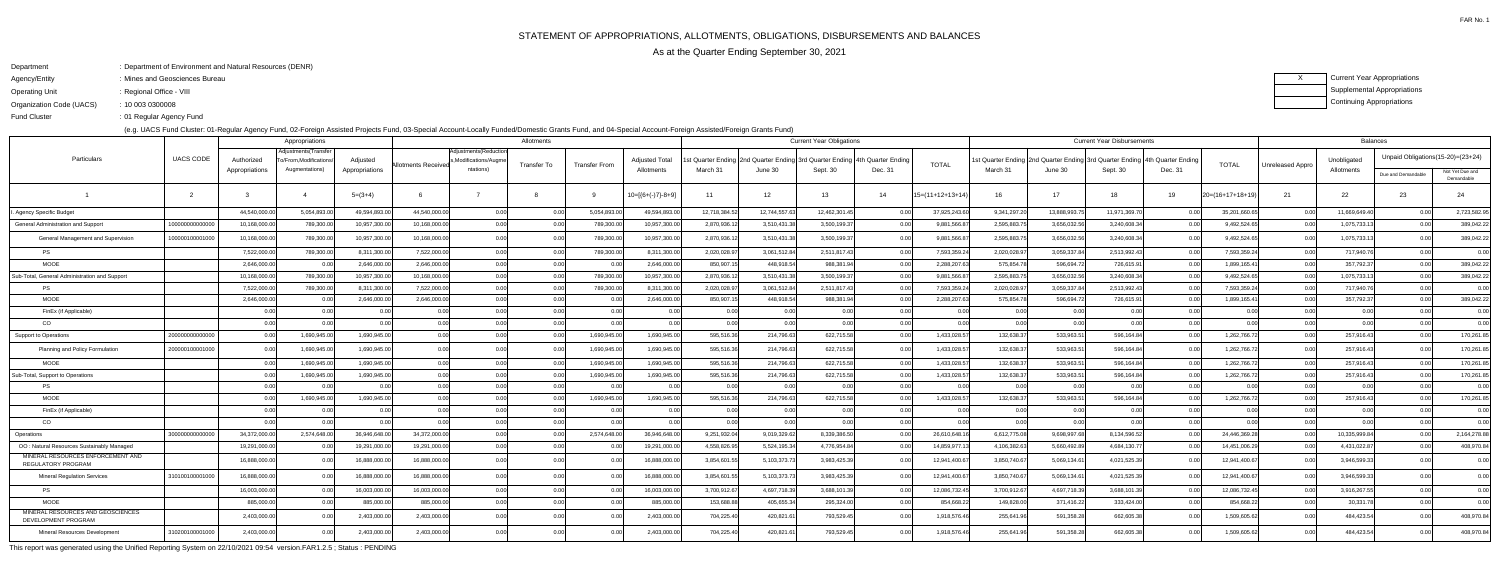## Department: Department of Environment and Natural Resources (DENR)

- Agency/Entity: Mines and Geosciences Bureau
- Operating Unit: Regional Office - VIII

FAR No. 1

As at the Quarter Ending September 30, 2021

ending the U.S. of Regular Agency Fund Fund Cluster

XCurrent Year Appropriations Supplemental AppropriationsContinuing Appropriations

Organization Code (UACS)10 003 0300008:

(e.g. UACS Fund Cluster: 01-Regular Agency Fund, 02-Foreign Assisted Projects Fund, 03-Special Account-Locally Funded/Domestic Grants Fund, and 04-Special Account-Foreign Assisted/Foreign Grants Fund)

|                                                          |                  | Appropriations<br>Adjustments(Transfer |                      |                |                            | Allotments                                    | <b>Current Year Obligations</b> |                      |                       |               |                                                                             |                   |                   | <b>Current Year Disbursements</b> |                                                                                 |              |               |         | <b>Balances</b> |                  |               |                                   |                               |
|----------------------------------------------------------|------------------|----------------------------------------|----------------------|----------------|----------------------------|-----------------------------------------------|---------------------------------|----------------------|-----------------------|---------------|-----------------------------------------------------------------------------|-------------------|-------------------|-----------------------------------|---------------------------------------------------------------------------------|--------------|---------------|---------|-----------------|------------------|---------------|-----------------------------------|-------------------------------|
| Particulars                                              | <b>UACS CODE</b> | Authorized                             | o/From.Modifications | Adjusted       | <b>Allotments Receivec</b> | Adjustments (Reduction<br>Modifications/Augm. | Transfer To                     | <b>Transfer From</b> | <b>Adjusted Total</b> |               | t Quarter Ending 2nd Quarter Ending 3rd Quarter Ending   4th Quarter Ending |                   |                   | <b>TOTAL</b>                      | Ist Quarter Ending  2nd Quarter Ending  3rd Quarter Ending   4th Quarter Ending |              |               |         | <b>TOTAL</b>    | Unreleased Appro | Unobligated   | Unpaid Obligations(15-20)=(23+24) |                               |
|                                                          |                  | Appropriations                         | Augmentations)       | Appropriations |                            | ntations)                                     |                                 |                      | Allotments            | March 31      | June 30                                                                     | Sept. 30          | Dec. 31           |                                   | March 31                                                                        | June 30      | Sept. 30      | Dec. 31 |                 |                  | Allotments    | Due and Demandable                | Not Yet Due and<br>Demandable |
|                                                          | $\overline{2}$   |                                        |                      | $5=(3+4)$      |                            |                                               |                                 |                      | $10=[6+(-)7]-8+9]$    | 11            | 12                                                                          | 13                | 14                | $15=(11+12+13+14)$                | 16                                                                              | 17           | 18            | 19      | 20=(16+17+18+19 | 21               | 22            | 23                                | 24                            |
| Agency Specific Budget                                   |                  | 44,540,000.0                           | 5,054,893.00         | 49,594,893.0   | 44,540,000.00              | 0.00                                          | 0.00                            | 5,054,893.0          | 49,594,893.00         | 12,718,384.52 | 12,744,557.6                                                                | 12,462,301.45     |                   | 37,925,243.6                      | 9,341,297.20                                                                    | 13,888,993.7 | 11,971,369.70 |         | 35,201,660.6    | 0.00             | 11,669,649.40 | 0.00                              | 2,723,582.95                  |
| General Administration and Support                       | 10000000000000   | 10,168,000.00                          | 789,300.00           | 10,957,300.00  | 10,168,000.00              | 0.00l                                         | 0.00                            | 789,300.00           | 10,957,300.00         | 2,870,936.12  | 3,510,431.3                                                                 | 3,500,199.37      | 0.00              | 9,881,566.87                      | 2,595,883.75                                                                    | 3,656,032.56 | 3,240,608.34  | . റ ററ  | 9,492,524.65    | 0.00             | 1,075,733.1   | 0.00                              | 389,042.22                    |
| General Management and Supervision                       | 100000100001000  | 10,168,000.00                          | 789.300.00           | 10,957,300.00  | 10.168.000.00              | 0.00                                          | 0.00                            | 789,300.00           | 10,957,300.00         | 2,870,936.12  | 3,510,431.3                                                                 | 3,500,199.37      | 0.00              | 9,881,566.8                       | 2,595,883.7                                                                     | 3.656.032.5  | 3,240,608.34  |         | 9,492,524.65    | 0.00             | 1,075,733.13  | 0.00 <sub>l</sub>                 | 389,042.22                    |
| PS.                                                      |                  | 7,522,000.00                           | 789,300.00           | 8,311,300.00   | 7,522,000.00               | 0.00                                          | 0.00                            | 789,300.00           | 8,311,300.00          | 2,020,028.97  | 3,061,512.8                                                                 | 2,511,817.43      | 0.00              | 7,593,359.2                       | 2,020,028.97                                                                    | 3,059,337.84 | 2,513,992.43  | 0.00    | 7,593,359.24    | 0.00             | 717,940.7     | 0.00                              | 0.00                          |
| <b>MOOE</b>                                              |                  | 2,646,000.00                           |                      | 2,646,000.00   | 2,646,000.0                | 0.00                                          | 0.00                            | 0.00                 | 2,646,000.00          | 850,907.15    | 448,918.5                                                                   | 988,381.94        | 0.00              | 2,288,207.6                       | 575,854.78                                                                      | 596,694.7    | 726,615.91    | .N 00   | 1,899,165.4     | 0.00             | 357,792.37    | 0.00                              | 389,042.22                    |
| Sub-Total, General Administration and Support            |                  | 10,168,000.0                           | 789,300.00           | 10,957,300.0   | 10,168,000.0               | 0.00                                          | 0.00                            | 789,300.00           | 10,957,300.00         | 2,870,936.12  | 3,510,431.3                                                                 | 3,500,199.37      |                   | 9,881,566.8                       | 2,595,883.7                                                                     | 3,656,032.5  | 3,240,608.34  |         | 9,492,524.65    | 0.0              | 1,075,733.1   | 0.00                              | 389,042.22                    |
| <b>PS</b>                                                |                  | 7,522,000.00                           | 789,300.00           | 8,311,300.00   | 7,522,000.00               | 0.00                                          | 0.00                            | 789,300.00           | 8,311,300.00          | 2,020,028.97  | 3,061,512.8                                                                 | 2,511,817.43      | 0.00              | 7,593,359.2                       | 2,020,028.9                                                                     | 3,059,337.84 | 2,513,992.43  | 0.00    | 7,593,359.24    | 0.00             | 717,940.76    | 0.00                              | 0.00                          |
| <b>MOOE</b>                                              |                  | 2,646,000.00                           |                      | 2,646,000.0    | 2,646,000.00               | 0.00                                          | 0.00                            | 0.00                 | 2,646,000.00          | 850,907.15    | 448,918.5                                                                   | 988,381.94        | 0.00              | 2,288,207.6                       | 575,854.7                                                                       | 596,694.7    | 726,615.91    |         | 1,899,165.41    | 0 O              | 357,792.37    | 0.00                              | 389,042.22                    |
| FinEx (if Applicable)                                    |                  | 0.00                                   |                      | 0.00           |                            | 0.00                                          | 0.00                            | 0.00                 | 0.00                  | 0.00          |                                                                             | 0.00              | 0.00              |                                   | 0.00                                                                            |              | 0.00          | 0.00    | 0 O             | 0.00             | 0.00          | 0.00                              | 0.00                          |
| CO                                                       |                  | 0.00                                   | n nn                 | 0.00           | 0.00                       | 0.00                                          | 0.00                            | 0.00                 | 0.00                  | 0.00          |                                                                             | 0.00              | 0.00              | n no                              | 0.00                                                                            |              | 0.00          | 0.00    | 0.00            | 0.00             |               | 0.00                              | 0.00                          |
| <b>Support to Operations</b>                             | 200000000000     | 0.00                                   | 1,690,945.00         | 1,690,945.00   | 0.00                       |                                               | 0.00                            | 1,690,945.00         | 1,690,945.00          | 595,516.36    | 214,796.6                                                                   | 622,715.58        | 0.00              | 1,433,028.5                       | 132,638.37                                                                      | 533,963.5    | 596,164.84    | 0.00    | 1,262,766.7     | 0.00             | 257,916.43    | 0.00                              | 170,261.85                    |
| Planning and Policy Formulation                          | 200000100001000  |                                        | 1,690,945.00         | 1,690,945.00   | n nn                       |                                               | 0.00                            | 1,690,945.00         | 1,690,945.00          | 595,516.36    | 214,796.6                                                                   | 622,715.58        |                   | 1,433,028.5                       | 132,638.3                                                                       | 533,963.5    | 596,164.84    |         | 1,262,766.72    | 0 O              | 257,916.43    | 0.00                              | 170,261.85                    |
| <b>MOOE</b>                                              |                  |                                        | 1,690,945.00         | 1,690,945.00   | 0.00                       |                                               | 0.00                            | 1,690,945.00         | 1,690,945.00          | 595,516.36    | 214,796.6                                                                   | 622,715.58        | 0.00              | 1,433,028.5                       | 132,638.3                                                                       | 533,963.5    | 596,164.84    |         | 1,262,766.72    | 0 O              | 257,916.43    | 0.00                              | 170,261.85                    |
| Sub-Total, Support to Operations                         |                  |                                        | 1,690,945.00         | 1,690,945.00   | 0.00                       |                                               | 0.00                            | 1,690,945.00         | 1,690,945.00          | 595,516.36    | 214,796.6                                                                   | 622,715.58        |                   | 1,433,028.5                       | 132,638.3                                                                       | 533,963.5    | 596,164.84    |         | 1,262,766.72    | 0.0              | 257,916.43    | 0.00                              | 170,261.85                    |
| <b>PS</b>                                                |                  | 0.00                                   |                      | 0.00           | 0.00                       | 0.00                                          | 0.00                            |                      | 0.00                  | 0.00          | 0 <sub>0</sub>                                                              | 0.00              | 0.00              | 0 <sup>0</sup>                    | 0.00                                                                            | റ ററി        | 0.00          | 0.00    | 0 O             | 0.00             | 0.00          | 0.00                              | 0.00                          |
| <b>MOOE</b>                                              |                  |                                        | 1,690,945.00         | 1,690,945.00   | 0.00                       | 0 <sub>0</sub>                                | 0.00                            | 1,690,945.00         | 1,690,945.00          | 595,516.36    | 214,796.6                                                                   | 622,715.58        | 0.00              | 1,433,028.5                       | 132,638.3                                                                       | 533,963.5    | 596,164.84    |         | 1,262,766.72    | - O O            | 257,916.43    | 0.00                              | 170,261.85                    |
| FinEx (if Applicable)                                    |                  | 0.00                                   |                      | 0.00           |                            | 0 U                                           | 0.00                            | 0.00                 | 0.00                  | 0.00          |                                                                             | 0.00              | 0.00              |                                   | 0.00                                                                            |              | 0.00          | 0.00    | 0 O             | 0.00             | 0.0(          | 0.00 <sub>l</sub>                 | 0.00                          |
| <sub>CO</sub>                                            |                  | ი იი                                   |                      | 0.00           |                            | 0.00                                          | 0.00                            |                      | 0.00                  | 0.00          |                                                                             | 0.00 <sub>l</sub> | 0.00 <sub>l</sub> | n no                              | 0.OC                                                                            |              | 0.00          | 0.00    | 0.00            | 0.00             |               | 0.00                              | 0.00                          |
| Operations                                               | 30000000000000   | 34,372,000.00                          | 2,574,648.00         | 36,946,648.0   | 34,372,000.00              | 0 <sub>0</sub>                                | 0.00                            | 2,574,648.00         | 36,946,648.00         | 9,251,932.04  | 9,019,329.6                                                                 | 8,339,386.50      | 0.00              | 26,610,648.1                      | 6,612,775.08                                                                    | 9,698,997.6  | 8,134,596.52  |         | 24,446,369.2    | 0.00             | 10,335,999.84 | 0.00                              | 2,164,278.88                  |
| OO: Natural Resources Sustainably Managed                |                  | 19,291,000.00                          |                      | 19,291,000.00  | 19,291,000.00              | 0.00                                          | 0.00                            | 0.00                 | 19,291,000.00         | 4,558,826.95  | 5,524,195.3                                                                 | 4,776,954.84      | 0.00              | 14,859,977.                       | 4,106,382.6                                                                     | 5,660,492.8  | 4,684,130.77  | 0.00    | 14,451,006.2    | 0.00             | 4,431,022.8   | 0.00                              | 408,970.84                    |
| MINERAL RESOURCES ENFORCEMENT AND<br>REGULATORY PROGRAM  |                  | 16,888,000.00                          |                      | 16,888,000.0   | 16,888,000.00              | 0.00                                          | 0.00                            | 0.00                 | 16,888,000.00         | 3,854,601.55  | 5,103,373.7                                                                 | 3,983,425.39      |                   | 12,941,400.6                      | 3,850,740.67                                                                    | 5,069,134.6  | 4,021,525.39  | 0.00    | 12,941,400.6    | 0.00             | 3,946,599.3   | 0.00                              | 0.00                          |
| <b>Mineral Regulation Services</b>                       | 310100100001000  | 16,888,000.00                          |                      | 16,888,000.00  | 16.888.000.00              | 0.00                                          | 0.00                            | 0.00                 | 16,888,000.00         | 3,854,601.55  | 5,103,373.7                                                                 | 3,983,425.39      |                   | 12,941,400.6                      | 3,850,740.67                                                                    | 5,069,134.61 | 4,021,525.39  |         | 12,941,400.67   | 0.00             | 3,946,599.3   | 0.001                             | 0.00                          |
| <b>PS</b>                                                |                  | 16,003,000.00                          |                      | 16,003,000.00  | 16.003.000.00              | 0.00                                          | 0.00                            | 0.00                 | 16.003.000.00         | 3,700,912.67  | 4,697,718.3                                                                 | 3,688,101.39      | 0.00              | 12,086,732.4                      | 3,700,912.67                                                                    | 4,697,718.39 | 3,688,101.39  | 0.00    | 12,086,732.45   | 0.00             | 3,916,267.5   | 0.00                              | 0.00                          |
| <b>MOOE</b>                                              |                  | 885,000.00                             |                      | 885,000.0      | 885,000.00                 | 0.00                                          | 0.00                            | 0.00                 | 885,000.00            | 153,688.88    | 405,655.3                                                                   | 295,324.00        | 0.00              | 854,668.2                         | 149,828.00                                                                      | 371,416.22   | 333,424.00    | 0.00    | 854,668.22      | 0.00             | 30,331.78     | 0.00                              | 0.00                          |
| MINERAL RESOURCES AND GEOSCIENCES<br>DEVELOPMENT PROGRAM |                  | 2,403,000.00                           |                      | 2,403,000.0    | 2,403,000.00               | 0.00                                          | 0.0(                            |                      | 2,403,000.00          | 704,225.40    | 420,821.6                                                                   | 793,529.45        | 0.00              | 1,918,576.4                       | 255,641.96                                                                      | 591,358.28   | 662,605.38    |         | 1,509,605.62    | 0.0              | 484,423.54    | 0.00                              | 408,970.84                    |
| Mineral Resources Development                            | 310200100001000  | 2,403,000.00                           |                      | 2,403,000.0    | 2,403,000.00               | 0.00                                          | 0.00                            |                      | 2,403,000.00          | 704,225.40    | 420,821.6                                                                   | 793,529.45        |                   | 1,918,576.46                      | 255,641.96                                                                      | 591,358.28   | 662,605.38    |         | 1,509,605.62    | 0 O              | 484,423.54    |                                   | 408,970.84                    |

This report was generated using the Unified Reporting System on 22/10/2021 09:54 version.FAR1.2.5 ; Status : PENDING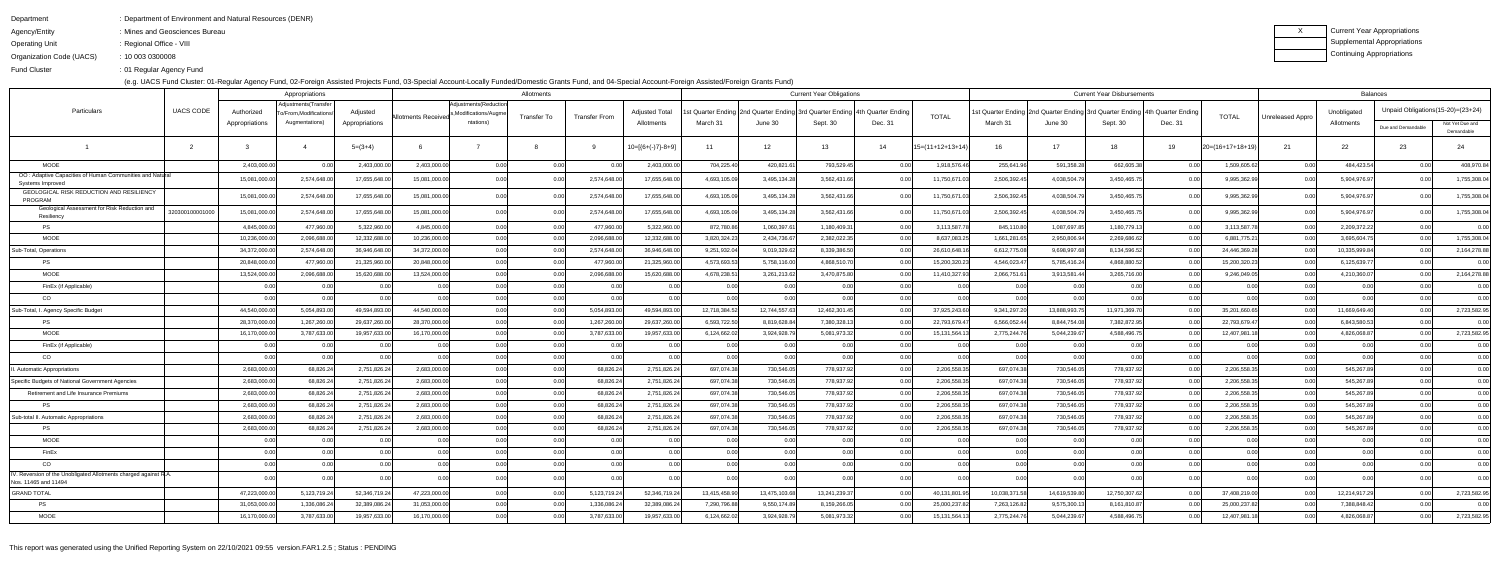Department

- : Department of Environment and Natural Resources (DENR)
- Agency/Entity: Mines and Geosciences Bureau
- Operating Unit : Regional Office - VIII

ending the U.S. of Regular Agency Fund Fund Cluster

Organization Code (UACS)10 003 0300008:

(e.g. UACS Fund Cluster: 01-Regular Agency Fund, 02-Foreign Assisted Projects Fund, 03-Special Account-Locally Funded/Domestic Grants Fund, and 04-Special Account-Foreign Assisted/Foreign Grants Fund)

| Current Year Appropriations |
|-----------------------------|
| Supplemental Appropriations |
| Continuing Appropriations   |

| Adjustments(Transfer<br>Adjustments (Reduction<br><b>UACS CODE</b><br>Particulars<br><b>Adjusted Total</b><br>Ist Quarter Ending 2nd Quarter Ending 3rd Quarter Ending<br>Unobligated<br>Adjusted<br>: Quarter Ending   2nd Quarter Ending   3rd Quarter Ending  <br>l 4th Quarter Ending<br>I 4th Quarter Endin<br>Authorized<br>o/From,Modifications<br>,Modifications/Augme<br><b>TOTAL</b><br><b>TOTAL</b> | Unpaid Obligations (15-20)= (23+24)                 |
|----------------------------------------------------------------------------------------------------------------------------------------------------------------------------------------------------------------------------------------------------------------------------------------------------------------------------------------------------------------------------------------------------------------|-----------------------------------------------------|
| <b>Transfer From</b><br><b>Allotments Received</b><br><b>Transfer To</b><br>Unreleased Appro<br>Augmentations)<br>ntations)<br>Dec. 31<br>Sept. 30<br>Appropriations<br>Allotments<br>March 31<br>June 30<br>Sept. 30<br>March 31<br>June 30<br>Dec. 31<br>Allotments<br>Appropriations                                                                                                                        | Not Yet Due and<br>Due and Demandable<br>Demandable |
| $10=[6+(-)7]-8+9]$<br>$15=(11+12+13+14)$<br>$20=(16+17+18+19)$<br>$5=(3+4)$<br>12<br>13<br>14<br>16<br>17<br>22<br>11<br>18<br>19<br>-21                                                                                                                                                                                                                                                                       | 23<br>24                                            |
| <b>MOOE</b><br>2,403,000.0<br>2,403,000.00<br>2,403,000.00<br>0.00<br>2,403,000.00<br>704,225.40<br>420,821.61<br>793,529.45<br>255,641.9<br>662,605.38<br>1,509,605.62<br>0.00<br>0.00<br>0.00<br>1,918,576.4<br>591,358.28<br>0.00<br>0.001                                                                                                                                                                  | 484,423.54<br>408,970.84<br>0.00                    |
| OO: Adaptive Capacities of Human Communities and Natural<br>15,081,000.0<br>2,574,648.00<br>17,655,648.00<br>15,081,000.0<br>17,655,648.00<br>3,495,134.28<br>3,562,431.66<br>2,506,392.4<br>4,038,504.79<br>3,450,465.75<br>9,995,362.99<br>0.00<br>2,574,648.00<br>4,693,105.09<br>11,750,671.0<br>0.00<br>Systems Improved                                                                                  | 5,904,976.97<br>1,755,308.04<br>0.00                |
| GEOLOGICAL RISK REDUCTION AND RESILIENCY<br>15,081,000.0<br>2,574,648.00<br>17,655,648.00<br>15,081,000.0<br>17,655,648.00<br>4,693,105.<br>3,495,134.28<br>3,562,431.6<br>11,750,671.<br>2,506,392.4<br>4,038,504.7<br>3,450,465.75<br>9,995,362.9<br>2,574,648.0<br>PROGRAM                                                                                                                                  | 5,904,976.97<br>1,755,308.04                        |
| Geological Assessment for Risk Reduction and<br>15,081,000.00<br>15,081,000.0<br>2,574,648.00<br>17,655,648.00<br>0.00l<br>17,655,648.00<br>4,693,105.09<br>3,495,134.28<br>3,562,431.66<br>11,750,671.0<br>2,506,392.4<br>4,038,504.79<br>3,450,465.75<br>9,995,362.99<br>320300100001000<br>0.0(<br>2,574,648.00<br>0.00<br>0.00<br>Resiliency                                                               | 5,904,976.97<br>1,755,308.04<br>0.00                |
| 4,845,000.0<br>477,960.00<br>5,322,960.00<br>4,845,000.0<br>0.00<br>5,322,960.00<br>872,780.86<br>1,060,397.61<br>1,180,409.3<br>3,113,587.7<br>845,110.80<br>1,087,697.85<br>1,180,779.13<br>3,113,587.7<br>PS<br>477,960.00<br>0.00<br>0.00                                                                                                                                                                  | 2,209,372.22<br>0.00<br>0.00                        |
| MOOE<br>10,236,000.<br>2,096,688.0<br>12,332,688.00<br>10,236,000.0<br>0.00<br>12,332,688.00<br>3,820,324.23<br>2,434,736.67<br>2,382,022.35<br>1,661,281.6<br>6,881,775.2<br>2,096,688.00<br>n ool<br>8,637,083.2<br>2,950,806.94<br>2,269,686.62<br>0.00                                                                                                                                                     | 1,755,308.04<br>3,695,604.75<br>0.00                |
| 34,372,000.0<br>36,946,648.00<br>34,372,000.00<br>36,946,648.00<br>9,251,932.04<br>9,019,329.62<br>8,339,386.50<br>6,612,775.0<br>9,698,997.68<br>8,134,596.52<br>Sub-Total, Operations<br>2,574,648.00<br>0.00<br>2,574,648.00<br>26,610,648.1<br>24,446,369.2<br>0.00                                                                                                                                        | 2,164,278.88<br>10,335,999.84<br>0.00               |
| 20,848,000.0<br>477,960.0<br>21,325,960.00<br>20,848,000.0<br>0.00<br>21,325,960.00<br>4,573,693.5<br>4,868,510.70<br>15,200,320.2<br>4,546,023.4<br>5,785,416.24<br>4,868,880.52<br>15,200,320.2<br>PS<br>477,960.00<br>5,758,116.00<br>0.00                                                                                                                                                                  | 6,125,639.77<br>0.00<br>0.00                        |
| MOOE<br>15,620,688.00<br>13,524,000.00<br>0.00<br>2,096,688.00<br>15,620,688.00<br>3,261,213.62<br>3,470,875.80<br>2,066,751.6<br>3,265,716.00<br>9,246,049.05<br>13,524,000.0<br>2,096,688.00<br>4,678,238.51<br>0.00<br>11,410,327.9<br>3,913,581.44<br>0.O<br>0.00                                                                                                                                          | 4,210,360.07<br>2,164,278.88<br>0.00                |
| 0.00l<br>FinEx (if Applicable)<br>0.00<br>0.00<br>0.00<br>0.00<br>_0.00<br>0.00<br>0.00<br>0 O<br>0.00<br>0.00<br>0.00l<br>0.00<br>.N 00                                                                                                                                                                                                                                                                       | 0 <sup>0</sup><br>0.00<br>0.00                      |
| 0.00l<br>n nnl<br>n ool<br>CO<br>n ool<br>0.00<br>0.00<br>0.00<br>0.00<br>0.00<br>0.00<br>0.00<br>n ool<br>0.00<br>0. U U<br>0.00<br>0.00                                                                                                                                                                                                                                                                      | 0.00<br>0 <sup>0</sup><br>0.00                      |
| 44,540,000.<br>5,054,893.00<br>49,594,893.00<br>44,540,000.00<br>5,054,893.00<br>49,594,893.00<br>12,718,384.52<br>12,744,557.63<br>37,925,243.60<br>9,341,297.2<br>13,888,993.7<br>11,971,369.70<br>35,201,660.65<br>Sub-Total, I. Agency Specific Budget<br>0.00<br>12,462,301.45<br>0.00<br>0.00<br>0.00                                                                                                    | 2,723,582.95<br>11,669,649.40<br>0.00               |
| 28,370,000.0<br>1,267,260.00<br>29,637,260.00<br>28,370,000.0<br>0.00<br>1,267,260.00<br>29,637,260.00<br>6,593,722.50<br>8,819,628.84<br>7,380,328.1<br>6,566,052.4<br>8,844,754.08<br>22,793,679.47<br>0.00<br>22,793,679.4<br>7,382,872.95<br>0.00                                                                                                                                                          | 6,843,580.53<br>0.00<br>0.00                        |
| MOOE<br>16,170,000.0<br>19,957,633.00<br>16,170,000.00<br>0.00<br>3,787,633.00<br>19,957,633.00<br>6,124,662.02<br>5,081,973.32<br>2,775,244.7<br>12,407,981.1<br>3,787,633.0<br>3,924,928.79<br>15,131,564.<br>5,044,239.6<br>4,588,496.75<br>0.00<br>0.00                                                                                                                                                    | 4,826,068.87<br>2,723,582.95<br>0.00                |
| FinEx (if Applicable)<br>0.00<br>0.00<br>0.00<br>0.00<br>0.00<br>0.00<br>0.00<br>0.00<br>0.00<br>0.00<br>0.00l<br>0.00<br>0.00                                                                                                                                                                                                                                                                                 | 0.00<br>0.00<br>0.00                                |
| 0.00<br>0.00<br>0.00<br>0.00<br>0.00<br>0.00<br>0.00<br>CO<br>$\cap$ $\cap$<br>0.00l<br>0.00<br>0. U U<br>0.00<br>0.00<br>0.00<br>0.00<br>0.00<br>0.00<br>0.00<br>0 <sup>0</sup>                                                                                                                                                                                                                               | 0 <sup>0</sup><br>0.001<br>0.00                     |
| 2,683,000.0<br>2,751,826.24<br>2.683.000.00<br>68,826.24<br>2,751,826.24<br>697,074.38<br>730,546.05<br>778,937.92<br>697,074.38<br>730,546.05<br>778,937.92<br>2,206,558.3<br>68,826.24<br>0.00<br>0.00<br>2,206,558.35<br>0.00<br>. Automatic Appropriations<br>0.0(                                                                                                                                         | 545,267.89<br>0.00<br>0.00                          |
| 2.683.000.0<br>0.00<br>68,826.24<br>2,751,826.24<br>697,074.38<br>730,546.05<br>778,937.92<br>697,074.3<br>778,937.92<br>2,206,558.3<br>Specific Budgets of National Government Agencies<br>2,683,000.<br>68,826.24<br>2,751,826.24<br>2,206,558.3<br>730,546.05<br>0.00                                                                                                                                       | 545,267.89<br>0.00<br>0.00                          |
| 2,751,826.24<br>2.683.000.00<br>0.00<br>2,751,826.24<br>697,074.38<br>778,937.92<br>697,074.3<br>778,937.92<br>2,206,558.3<br>2,683,000.0<br>68,826.24<br>68,826.24<br>730,546.05<br>n ool<br>2,206,558.3<br>730,546.05<br>0.00<br>Retirement and Life Insurance Premiums<br>0.O                                                                                                                               | 545,267.89<br>0.00<br>0.00 <sub>l</sub>             |
| 2,683,000.0<br>2,751,826.24<br>2,683,000.0<br>0.00<br>68,826.24<br>2,751,826.24<br>697,074.38<br>730,546.05<br>778,937.92<br>697,074.3<br>730,546.05<br>778,937.92<br>2,206,558.3<br><b>PS</b><br>68,826.24<br>2,206,558.3<br>0 U<br>0.0(<br>0.00                                                                                                                                                              | 545,267.89<br>0.00<br>0.00 <sub>l</sub>             |
| 2,683,000.0<br>2,751,826.24<br>2,683,000.00<br>0.00<br>2,751,826.24<br>697,074.38<br>730,546.05<br>778,937.92<br>778,937.92<br>2,206,558.3<br>Sub-total II. Automatic Appropriations<br>68,826.24<br>68,826.24<br>n ool<br>2,206,558.3<br>697,074.3<br>730,546.05<br>0.00                                                                                                                                      | 545,267.89<br>0.00<br>0.00                          |
| 2,683,000.0<br>2,751,826.24<br>2,683,000.00<br>2,751,826.24<br>697,074.38<br>730,546.05<br>778,937.92<br>697,074.3<br>778,937.92<br>2,206,558.3<br>68,826.24<br>0.00<br>68,826.24<br>2,206,558.3<br>730,546.05<br><b>PS</b><br>0.00                                                                                                                                                                            | 545,267.89<br>0.00<br>0.00                          |
| MOOE<br>0.00<br>0.00<br>0.00<br>0.00<br>0.00<br>0.00 <sub>l</sub><br>0.00<br>0.00<br>0.00<br>0.00<br>0.00<br>0.001                                                                                                                                                                                                                                                                                             | 0.00<br>0.00                                        |
| FinEx<br>0.00<br>0.00 <sub>l</sub><br>0.00<br>n no<br>0.00<br>0.00<br>0.00<br>0.00<br>0.00<br>0.00<br>0.00<br>0.00<br>0.00<br>0.00 <sub>l</sub><br>0.00<br>0.00l<br>0.00                                                                                                                                                                                                                                       | 0.00<br>0.00<br>0.00                                |
| CO<br>0.00<br>0.00<br>0.00<br>0.00<br>0.00<br>0 <sup>0</sup><br>0.00 <sub>l</sub><br>0.00<br>0.00<br>0.00<br>0.00<br>0.00<br>0.00<br>0.00<br>0.00<br>0.00<br>0.00<br>0.00<br>0.00                                                                                                                                                                                                                              | 0.00<br>0.00<br>0.00                                |
| IV. Reversion of the Unobligated Allotments charged against R.A.<br>0.00<br>0.00<br>0.00<br>0.00<br>0 <sub>0</sub><br>0.00l<br>0.00<br>0.00<br>0.00<br>0.00<br>0.00<br>0.00<br>0.00<br>0.00<br>0.00<br>0.00 <sub>l</sub><br>Nos. 11465 and 11494                                                                                                                                                               | 0.00<br>0.00<br>0.001                               |
| 47,223,000.00<br>5,123,719.24<br>52.346.719.24<br>47.223.000.00<br>5,123,719.24<br>52,346,719.24<br>10.038.371.58<br>14.619.539.80<br><b>GRAND TOTAL</b><br>0.00<br>13.415.458.90<br>13.475.103.68<br>13,241,239.37<br>0.00<br>40,131,801.95<br>12.750.307.62<br>37,408,219.00<br>0.00<br>_0.00<br>0.00                                                                                                        | 12,214,917.29<br>2,723,582.95<br>0.00               |
| 32,389,086.24<br>9,550,174.89<br>31,053,000.0<br>1,336,086.24<br>32,389,086.24<br>31.053.000.00<br>0.00<br>1,336,086.24<br>7,290,796.88<br>8,159,266.05<br>25,000,237.82<br>7,263,126.82<br>9,575,300.13<br>8,161,810.87<br>25,000,237.82<br><b>PS</b><br>0.00<br>0.00<br>0.00<br>0.00                                                                                                                         | 7,388,848.42<br>0.00<br>0.00                        |
| 19,957,633.00<br><b>MOOE</b><br>16,170,000.00<br>3,787,633.00<br>19,957,633.00<br>16,170,000.00<br>0.00<br>3,787,633.00<br>6,124,662.02<br>3,924,928.79<br>5,081,973.32<br>15, 131, 564. 13<br>2,775,244.76<br>5,044,239.67<br>4,588,496.75<br>12,407,981.18<br>0.00<br>0.00<br>0 <sup>0</sup><br>0.00                                                                                                         | 4,826,068.87<br>0.00<br>2,723,582.95                |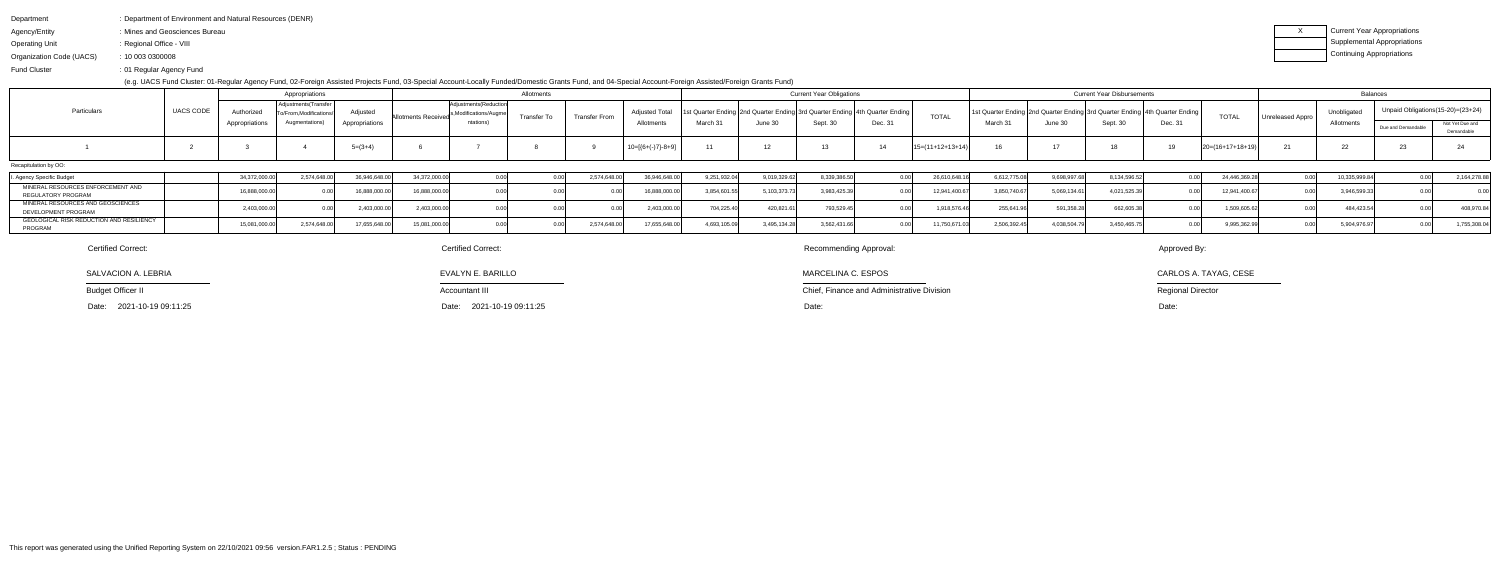| Department               | : Department of Environment and Natural Resources (DENR) |
|--------------------------|----------------------------------------------------------|
| Agency/Entity            | : Mines and Geosciences Bureau                           |
| Operating Unit           | : Regional Office - VIII                                 |
| Organization Code (UACS) | : 100030300008                                           |

Fund Cluster01 Regular Agency Fund:

(e.g. UACS Fund Cluster: 01-Regular Agency Fund, 02-Foreign Assisted Projects Fund, 03-Special Account-Locally Funded/Domestic Grants Fund, and 04-Special Account-Foreign Assisted/Foreign Grants Fund)

| x | Current Year Appropriations |
|---|-----------------------------|
|   | Supplemental Appropriations |
|   | Continuing Appropriations   |

| Appropriations                                                 |           |                |                                               |                |                            | Allotments                                       |                    |               |                     |                                                                                   | <b>Current Year Obligations</b> |             |         | <b>Current Year Disbursements</b> |             |              |                                                                             |         | Balances             |                  |                   |                                     |                               |
|----------------------------------------------------------------|-----------|----------------|-----------------------------------------------|----------------|----------------------------|--------------------------------------------------|--------------------|---------------|---------------------|-----------------------------------------------------------------------------------|---------------------------------|-------------|---------|-----------------------------------|-------------|--------------|-----------------------------------------------------------------------------|---------|----------------------|------------------|-------------------|-------------------------------------|-------------------------------|
| Particulars                                                    | UACS CODE | Authorized     | Adjustments (Transfer<br>o/From.Modifications | Adiusted       | <b>Allotments Received</b> | Adjustments (Reduction<br>s,Modifications/Augmel | <b>Transfer To</b> | Transfer From | Adjusted T          | 1st Quarter Ending   2nd Quarter Ending   3rd Quarter Ending   4th Quarter Ending |                                 |             |         | <b>TOTAL</b>                      |             |              | 1st Quarter Ending 2nd Quarter Ending 3rd Quarter Ending 4th Quarter Ending |         | <b>TOTAL</b>         | Unreleased Appro | <b>Unobligate</b> | Unpaid Obligations (15-20)= (23+24) |                               |
|                                                                |           | Appropriations | Augmentations)                                | Appropriations |                            | ntations)                                        |                    |               | Allotments          | March 31                                                                          | June 30                         | Sept. 30    | Dec. 31 |                                   | March 31    | June 30      | Sept. 30                                                                    | Dec. 31 |                      |                  | Allotments        | Due and Demandable                  | Not Yet Due and<br>Demandable |
|                                                                |           |                |                                               | $5=(3+4)$      |                            |                                                  |                    |               | $10=[(6+(-)7)-8+9]$ | 11                                                                                | 12                              |             |         | $15=(11+12+13+14)$                |             |              |                                                                             |         | $ 20=(16+17+18+19) $ |                  |                   | 23                                  |                               |
| Recapitulation by OO:                                          |           |                |                                               |                |                            |                                                  |                    |               |                     |                                                                                   |                                 |             |         |                                   |             |              |                                                                             |         |                      |                  |                   |                                     |                               |
| . Agency Specific Budget                                       |           | 34,372,000.0   | 2,574,648.0                                   | 36,946,648.0   | 34,372,000.00              |                                                  |                    | 2,574,648.0'  | 36,946,648.         | 9,251,932.04                                                                      | 9,019,329.62                    | 8,339,386.  |         | 26,610,648                        | 6,612,775.0 | 9.698.997.   | 8,134,596.52                                                                |         | 24,446,369.          | n ool            | 10,335,999.       |                                     | 2,164,278.88                  |
| MINERAL RESOURCES ENFORCEMENT AND<br><b>REGULATORY PROGRAM</b> |           | 16.888.000.    |                                               | 16.888.000.0   | 16.888.000.00              |                                                  |                    |               | 16,888,000.0        | 3.854.601.                                                                        | 5,103,373.73                    | 3,983,425.3 |         | 12,941,400.6                      | 3,850,740.6 | 5,069,134.61 | 4,021,525.39                                                                |         | 12.941.400.67        | n nr             | 3,946,599.3       |                                     |                               |
| MINERAL RESOURCES AND GEOSCIENCES<br>DEVELOPMENT PROGRAM       |           | 2,403,000.     |                                               | 2,403,000.0    | 2,403,000.00               |                                                  |                    |               | 2,403,000.0         | 704,225.40                                                                        | 420,821.61                      | 793,529.4   |         | 1,918,576.46                      | 255,641.9   | 591,358.26,  | 662,605.3                                                                   |         | 1,509,605.62         |                  | 484,423.5         |                                     | 408,970.84                    |
| GEOLOGICAL RISK REDUCTION AND RESILIENCY<br>PROGRAM            |           | 15,081,000.00  | 2,574,648.00                                  | 17,655,648.00  | 15.081.000.00              |                                                  |                    | 2,574,648.00  | 17,655,648.0        | 4,693,105.09                                                                      | 3,495,134.28                    | 3,562,431.6 |         | 11,750,671.03                     | 2,506,392.4 | 4.038.504.79 | 3,450,465.7                                                                 |         | 9,995,362.9          | n na             | 5,904,976.97      |                                     | 1,755,308.04                  |

SALVACION A. LEBRIA

Budget Officer II

Date: 2021-10-19 09:11:25

Certified Correct:

Chief, Finance and Administrative Division

MARCELINA C. ESPOS

Recommending Approval:

Approved By:

CARLOS A. TAYAG, CESE

Regional Director

# Certified Correct:

 Date: Date: Date:2021-10-19 09:11:25

EVALYN E. BARILLO

Accountant III